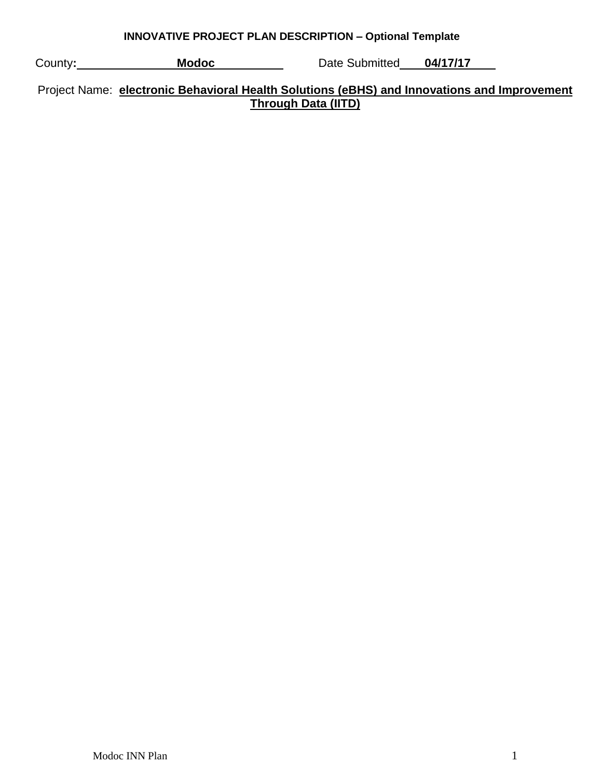| <b>INNOVATIVE PROJECT PLAN DESCRIPTION - Optional Template</b> |  |  |  |
|----------------------------------------------------------------|--|--|--|
|                                                                |  |  |  |

| County: | <b>Modoc</b> | Date Submitted | 04/17/17 |  |
|---------|--------------|----------------|----------|--|
|         |              |                |          |  |

Project Name: **electronic Behavioral Health Solutions (eBHS) and Innovations and Improvement Through Data (IITD)**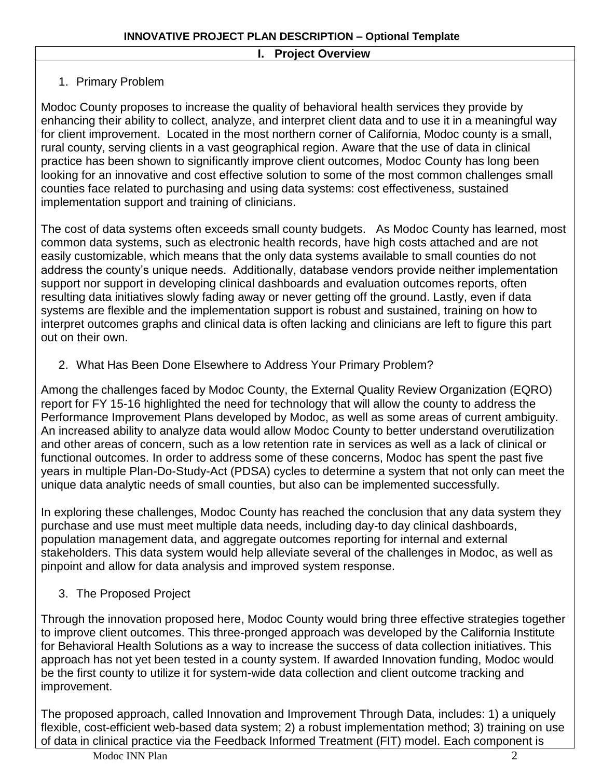#### **I. Project Overview**

# 1. Primary Problem

Modoc County proposes to increase the quality of behavioral health services they provide by enhancing their ability to collect, analyze, and interpret client data and to use it in a meaningful way for client improvement. Located in the most northern corner of California, Modoc county is a small, rural county, serving clients in a vast geographical region. Aware that the use of data in clinical practice has been shown to significantly improve client outcomes, Modoc County has long been looking for an innovative and cost effective solution to some of the most common challenges small counties face related to purchasing and using data systems: cost effectiveness, sustained implementation support and training of clinicians.

The cost of data systems often exceeds small county budgets. As Modoc County has learned, most common data systems, such as electronic health records, have high costs attached and are not easily customizable, which means that the only data systems available to small counties do not address the county's unique needs. Additionally, database vendors provide neither implementation support nor support in developing clinical dashboards and evaluation outcomes reports, often resulting data initiatives slowly fading away or never getting off the ground. Lastly, even if data systems are flexible and the implementation support is robust and sustained, training on how to interpret outcomes graphs and clinical data is often lacking and clinicians are left to figure this part out on their own.

2. What Has Been Done Elsewhere to Address Your Primary Problem?

Among the challenges faced by Modoc County, the External Quality Review Organization (EQRO) report for FY 15-16 highlighted the need for technology that will allow the county to address the Performance Improvement Plans developed by Modoc, as well as some areas of current ambiguity. An increased ability to analyze data would allow Modoc County to better understand overutilization and other areas of concern, such as a low retention rate in services as well as a lack of clinical or functional outcomes. In order to address some of these concerns, Modoc has spent the past five years in multiple Plan-Do-Study-Act (PDSA) cycles to determine a system that not only can meet the unique data analytic needs of small counties, but also can be implemented successfully.

In exploring these challenges, Modoc County has reached the conclusion that any data system they purchase and use must meet multiple data needs, including day-to day clinical dashboards, population management data, and aggregate outcomes reporting for internal and external stakeholders. This data system would help alleviate several of the challenges in Modoc, as well as pinpoint and allow for data analysis and improved system response.

3. The Proposed Project

Through the innovation proposed here, Modoc County would bring three effective strategies together to improve client outcomes. This three-pronged approach was developed by the California Institute for Behavioral Health Solutions as a way to increase the success of data collection initiatives. This approach has not yet been tested in a county system. If awarded Innovation funding, Modoc would be the first county to utilize it for system-wide data collection and client outcome tracking and improvement.

The proposed approach, called Innovation and Improvement Through Data, includes: 1) a uniquely flexible, cost-efficient web-based data system; 2) a robust implementation method; 3) training on use of data in clinical practice via the Feedback Informed Treatment (FIT) model. Each component is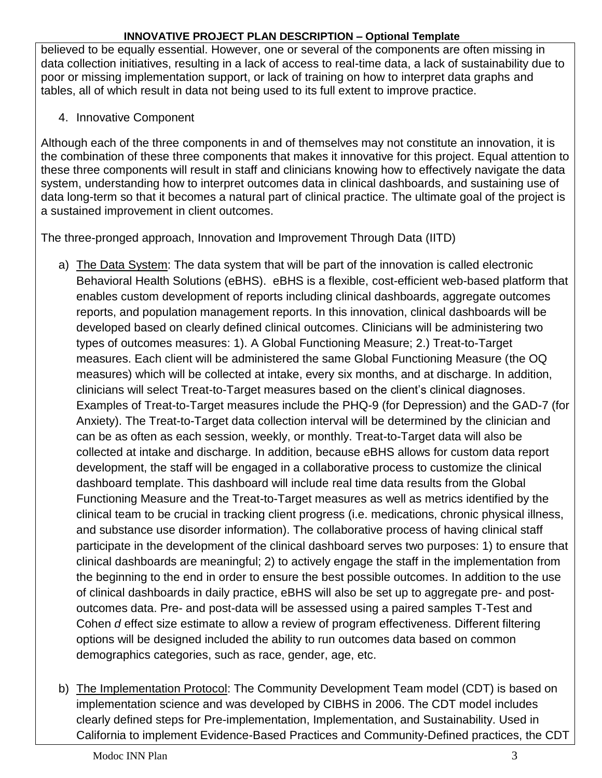believed to be equally essential. However, one or several of the components are often missing in data collection initiatives, resulting in a lack of access to real-time data, a lack of sustainability due to poor or missing implementation support, or lack of training on how to interpret data graphs and tables, all of which result in data not being used to its full extent to improve practice.

### 4. Innovative Component

Although each of the three components in and of themselves may not constitute an innovation, it is the combination of these three components that makes it innovative for this project. Equal attention to these three components will result in staff and clinicians knowing how to effectively navigate the data system, understanding how to interpret outcomes data in clinical dashboards, and sustaining use of data long-term so that it becomes a natural part of clinical practice. The ultimate goal of the project is a sustained improvement in client outcomes.

The three-pronged approach, Innovation and Improvement Through Data (IITD)

- a) The Data System: The data system that will be part of the innovation is called electronic Behavioral Health Solutions (eBHS). eBHS is a flexible, cost-efficient web-based platform that enables custom development of reports including clinical dashboards, aggregate outcomes reports, and population management reports. In this innovation, clinical dashboards will be developed based on clearly defined clinical outcomes. Clinicians will be administering two types of outcomes measures: 1). A Global Functioning Measure; 2.) Treat-to-Target measures. Each client will be administered the same Global Functioning Measure (the OQ measures) which will be collected at intake, every six months, and at discharge. In addition, clinicians will select Treat-to-Target measures based on the client's clinical diagnoses. Examples of Treat-to-Target measures include the PHQ-9 (for Depression) and the GAD-7 (for Anxiety). The Treat-to-Target data collection interval will be determined by the clinician and can be as often as each session, weekly, or monthly. Treat-to-Target data will also be collected at intake and discharge. In addition, because eBHS allows for custom data report development, the staff will be engaged in a collaborative process to customize the clinical dashboard template. This dashboard will include real time data results from the Global Functioning Measure and the Treat-to-Target measures as well as metrics identified by the clinical team to be crucial in tracking client progress (i.e. medications, chronic physical illness, and substance use disorder information). The collaborative process of having clinical staff participate in the development of the clinical dashboard serves two purposes: 1) to ensure that clinical dashboards are meaningful; 2) to actively engage the staff in the implementation from the beginning to the end in order to ensure the best possible outcomes. In addition to the use of clinical dashboards in daily practice, eBHS will also be set up to aggregate pre- and postoutcomes data. Pre- and post-data will be assessed using a paired samples T-Test and Cohen *d* effect size estimate to allow a review of program effectiveness. Different filtering options will be designed included the ability to run outcomes data based on common demographics categories, such as race, gender, age, etc.
- b) The Implementation Protocol: The Community Development Team model (CDT) is based on implementation science and was developed by CIBHS in 2006. The CDT model includes clearly defined steps for Pre-implementation, Implementation, and Sustainability. Used in California to implement Evidence-Based Practices and Community-Defined practices, the CDT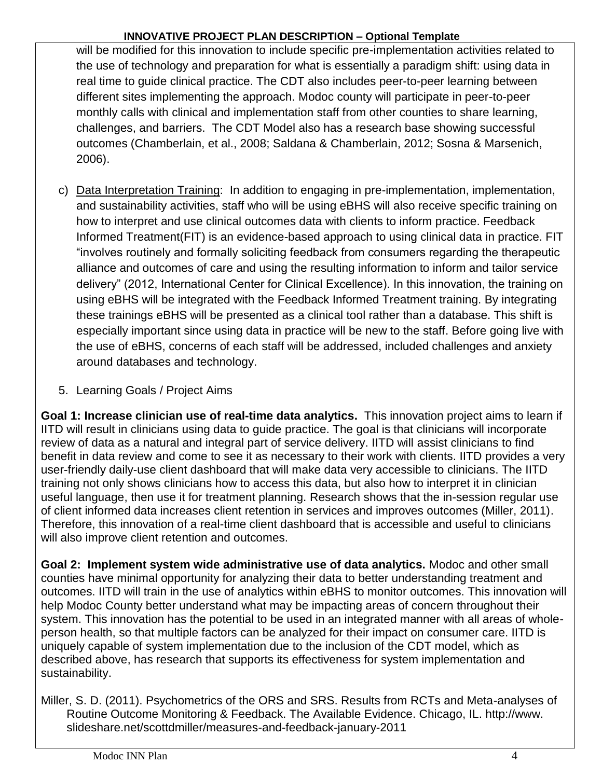will be modified for this innovation to include specific pre-implementation activities related to the use of technology and preparation for what is essentially a paradigm shift: using data in real time to guide clinical practice. The CDT also includes peer-to-peer learning between different sites implementing the approach. Modoc county will participate in peer-to-peer monthly calls with clinical and implementation staff from other counties to share learning, challenges, and barriers. The CDT Model also has a research base showing successful outcomes (Chamberlain, et al., 2008; Saldana & Chamberlain, 2012; Sosna & Marsenich, 2006).

- c) Data Interpretation Training: In addition to engaging in pre-implementation, implementation, and sustainability activities, staff who will be using eBHS will also receive specific training on how to interpret and use clinical outcomes data with clients to inform practice. Feedback Informed Treatment(FIT) is an evidence-based approach to using clinical data in practice. FIT "involves routinely and formally soliciting feedback from consumers regarding the therapeutic alliance and outcomes of care and using the resulting information to inform and tailor service delivery" (2012, International Center for Clinical Excellence). In this innovation, the training on using eBHS will be integrated with the Feedback Informed Treatment training. By integrating these trainings eBHS will be presented as a clinical tool rather than a database. This shift is especially important since using data in practice will be new to the staff. Before going live with the use of eBHS, concerns of each staff will be addressed, included challenges and anxiety around databases and technology.
- 5. Learning Goals / Project Aims

**Goal 1: Increase clinician use of real-time data analytics.** This innovation project aims to learn if IITD will result in clinicians using data to guide practice. The goal is that clinicians will incorporate review of data as a natural and integral part of service delivery. IITD will assist clinicians to find benefit in data review and come to see it as necessary to their work with clients. IITD provides a very user-friendly daily-use client dashboard that will make data very accessible to clinicians. The IITD training not only shows clinicians how to access this data, but also how to interpret it in clinician useful language, then use it for treatment planning. Research shows that the in-session regular use of client informed data increases client retention in services and improves outcomes (Miller, 2011). Therefore, this innovation of a real-time client dashboard that is accessible and useful to clinicians will also improve client retention and outcomes.

**Goal 2: Implement system wide administrative use of data analytics.** Modoc and other small counties have minimal opportunity for analyzing their data to better understanding treatment and outcomes. IITD will train in the use of analytics within eBHS to monitor outcomes. This innovation will help Modoc County better understand what may be impacting areas of concern throughout their system. This innovation has the potential to be used in an integrated manner with all areas of wholeperson health, so that multiple factors can be analyzed for their impact on consumer care. IITD is uniquely capable of system implementation due to the inclusion of the CDT model, which as described above, has research that supports its effectiveness for system implementation and sustainability.

Miller, S. D. (2011). Psychometrics of the ORS and SRS. Results from RCTs and Meta-analyses of Routine Outcome Monitoring & Feedback. The Available Evidence. Chicago, IL. http://www. slideshare.net/scottdmiller/measures-and-feedback-january-2011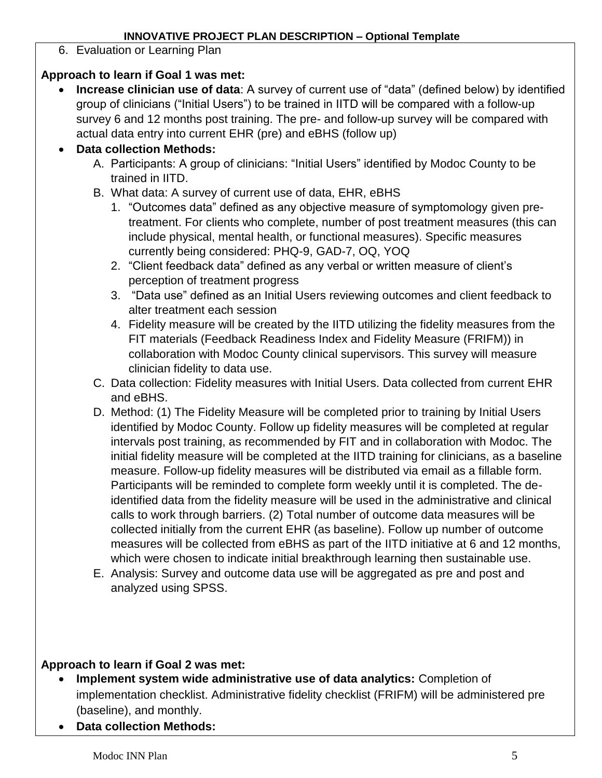6. Evaluation or Learning Plan

# **Approach to learn if Goal 1 was met:**

 **Increase clinician use of data**: A survey of current use of "data" (defined below) by identified group of clinicians ("Initial Users") to be trained in IITD will be compared with a follow-up survey 6 and 12 months post training. The pre- and follow-up survey will be compared with actual data entry into current EHR (pre) and eBHS (follow up)

# **Data collection Methods:**

- A. Participants: A group of clinicians: "Initial Users" identified by Modoc County to be trained in IITD.
- B. What data: A survey of current use of data, EHR, eBHS
	- 1. "Outcomes data" defined as any objective measure of symptomology given pretreatment. For clients who complete, number of post treatment measures (this can include physical, mental health, or functional measures). Specific measures currently being considered: PHQ-9, GAD-7, OQ, YOQ
	- 2. "Client feedback data" defined as any verbal or written measure of client's perception of treatment progress
	- 3. "Data use" defined as an Initial Users reviewing outcomes and client feedback to alter treatment each session
	- 4. Fidelity measure will be created by the IITD utilizing the fidelity measures from the FIT materials (Feedback Readiness Index and Fidelity Measure (FRIFM)) in collaboration with Modoc County clinical supervisors. This survey will measure clinician fidelity to data use.
- C. Data collection: Fidelity measures with Initial Users. Data collected from current EHR and eBHS.
- D. Method: (1) The Fidelity Measure will be completed prior to training by Initial Users identified by Modoc County. Follow up fidelity measures will be completed at regular intervals post training, as recommended by FIT and in collaboration with Modoc. The initial fidelity measure will be completed at the IITD training for clinicians, as a baseline measure. Follow-up fidelity measures will be distributed via email as a fillable form. Participants will be reminded to complete form weekly until it is completed. The deidentified data from the fidelity measure will be used in the administrative and clinical calls to work through barriers. (2) Total number of outcome data measures will be collected initially from the current EHR (as baseline). Follow up number of outcome measures will be collected from eBHS as part of the IITD initiative at 6 and 12 months, which were chosen to indicate initial breakthrough learning then sustainable use.
- E. Analysis: Survey and outcome data use will be aggregated as pre and post and analyzed using SPSS.

# **Approach to learn if Goal 2 was met:**

- **Implement system wide administrative use of data analytics:** Completion of implementation checklist. Administrative fidelity checklist (FRIFM) will be administered pre (baseline), and monthly.
- **Data collection Methods:**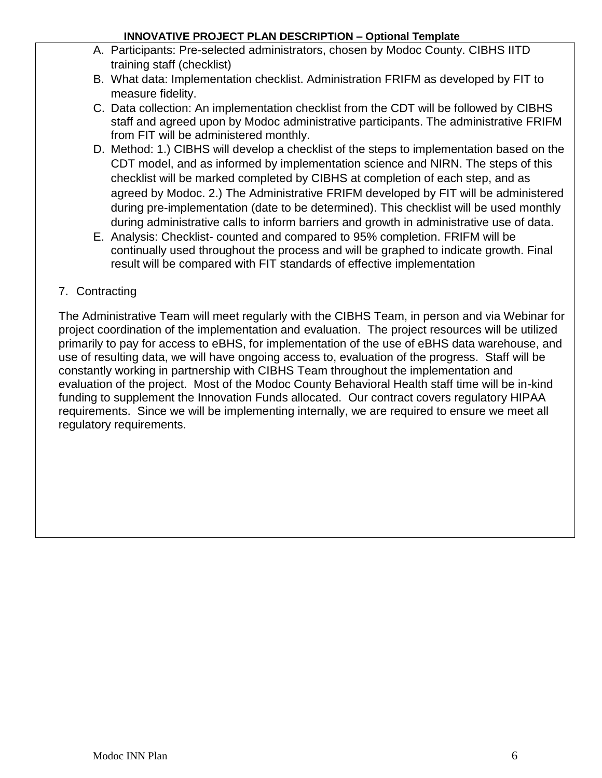- A. Participants: Pre-selected administrators, chosen by Modoc County. CIBHS IITD training staff (checklist)
- B. What data: Implementation checklist. Administration FRIFM as developed by FIT to measure fidelity.
- C. Data collection: An implementation checklist from the CDT will be followed by CIBHS staff and agreed upon by Modoc administrative participants. The administrative FRIFM from FIT will be administered monthly.
- D. Method: 1.) CIBHS will develop a checklist of the steps to implementation based on the CDT model, and as informed by implementation science and NIRN. The steps of this checklist will be marked completed by CIBHS at completion of each step, and as agreed by Modoc. 2.) The Administrative FRIFM developed by FIT will be administered during pre-implementation (date to be determined). This checklist will be used monthly during administrative calls to inform barriers and growth in administrative use of data.
- E. Analysis: Checklist- counted and compared to 95% completion. FRIFM will be continually used throughout the process and will be graphed to indicate growth. Final result will be compared with FIT standards of effective implementation

# 7. Contracting

The Administrative Team will meet regularly with the CIBHS Team, in person and via Webinar for project coordination of the implementation and evaluation. The project resources will be utilized primarily to pay for access to eBHS, for implementation of the use of eBHS data warehouse, and use of resulting data, we will have ongoing access to, evaluation of the progress. Staff will be constantly working in partnership with CIBHS Team throughout the implementation and evaluation of the project. Most of the Modoc County Behavioral Health staff time will be in-kind funding to supplement the Innovation Funds allocated. Our contract covers regulatory HIPAA requirements. Since we will be implementing internally, we are required to ensure we meet all regulatory requirements.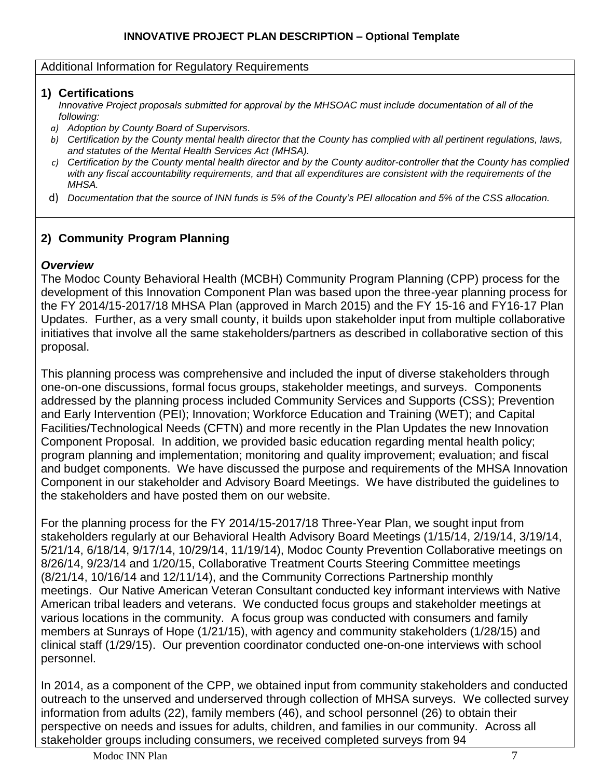#### Additional Information for Regulatory Requirements

### **1) Certifications**

*Innovative Project proposals submitted for approval by the MHSOAC must include documentation of all of the following:*

- *a) Adoption by County Board of Supervisors.*
- *b) Certification by the County mental health director that the County has complied with all pertinent regulations, laws, and statutes of the Mental Health Services Act (MHSA).*
- *c) Certification by the County mental health director and by the County auditor-controller that the County has complied with any fiscal accountability requirements, and that all expenditures are consistent with the requirements of the MHSA.*
- d) *Documentation that the source of INN funds is 5% of the County's PEI allocation and 5% of the CSS allocation.*

## **2) Community Program Planning**

### *Overview*

The Modoc County Behavioral Health (MCBH) Community Program Planning (CPP) process for the development of this Innovation Component Plan was based upon the three-year planning process for the FY 2014/15-2017/18 MHSA Plan (approved in March 2015) and the FY 15-16 and FY16-17 Plan Updates. Further, as a very small county, it builds upon stakeholder input from multiple collaborative initiatives that involve all the same stakeholders/partners as described in collaborative section of this proposal.

This planning process was comprehensive and included the input of diverse stakeholders through one-on-one discussions, formal focus groups, stakeholder meetings, and surveys. Components addressed by the planning process included Community Services and Supports (CSS); Prevention and Early Intervention (PEI); Innovation; Workforce Education and Training (WET); and Capital Facilities/Technological Needs (CFTN) and more recently in the Plan Updates the new Innovation Component Proposal. In addition, we provided basic education regarding mental health policy; program planning and implementation; monitoring and quality improvement; evaluation; and fiscal and budget components. We have discussed the purpose and requirements of the MHSA Innovation Component in our stakeholder and Advisory Board Meetings. We have distributed the guidelines to the stakeholders and have posted them on our website.

For the planning process for the FY 2014/15-2017/18 Three-Year Plan, we sought input from stakeholders regularly at our Behavioral Health Advisory Board Meetings (1/15/14, 2/19/14, 3/19/14, 5/21/14, 6/18/14, 9/17/14, 10/29/14, 11/19/14), Modoc County Prevention Collaborative meetings on 8/26/14, 9/23/14 and 1/20/15, Collaborative Treatment Courts Steering Committee meetings (8/21/14, 10/16/14 and 12/11/14), and the Community Corrections Partnership monthly meetings. Our Native American Veteran Consultant conducted key informant interviews with Native American tribal leaders and veterans. We conducted focus groups and stakeholder meetings at various locations in the community. A focus group was conducted with consumers and family members at Sunrays of Hope (1/21/15), with agency and community stakeholders (1/28/15) and clinical staff (1/29/15). Our prevention coordinator conducted one-on-one interviews with school personnel.

In 2014, as a component of the CPP, we obtained input from community stakeholders and conducted outreach to the unserved and underserved through collection of MHSA surveys. We collected survey information from adults (22), family members (46), and school personnel (26) to obtain their perspective on needs and issues for adults, children, and families in our community. Across all stakeholder groups including consumers, we received completed surveys from 94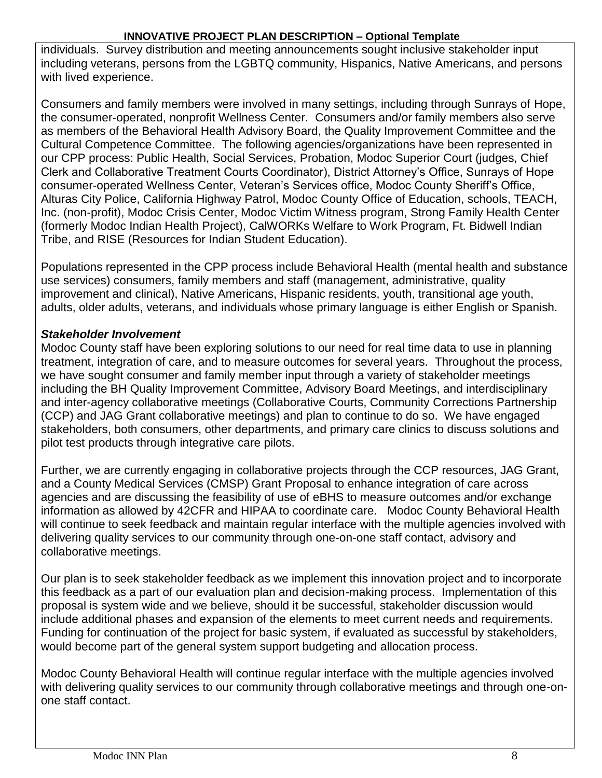individuals. Survey distribution and meeting announcements sought inclusive stakeholder input including veterans, persons from the LGBTQ community, Hispanics, Native Americans, and persons with lived experience.

Consumers and family members were involved in many settings, including through Sunrays of Hope, the consumer-operated, nonprofit Wellness Center. Consumers and/or family members also serve as members of the Behavioral Health Advisory Board, the Quality Improvement Committee and the Cultural Competence Committee. The following agencies/organizations have been represented in our CPP process: Public Health, Social Services, Probation, Modoc Superior Court (judges, Chief Clerk and Collaborative Treatment Courts Coordinator), District Attorney's Office, Sunrays of Hope consumer-operated Wellness Center, Veteran's Services office, Modoc County Sheriff's Office, Alturas City Police, California Highway Patrol, Modoc County Office of Education, schools, TEACH, Inc. (non-profit), Modoc Crisis Center, Modoc Victim Witness program, Strong Family Health Center (formerly Modoc Indian Health Project), CalWORKs Welfare to Work Program, Ft. Bidwell Indian Tribe, and RISE (Resources for Indian Student Education).

Populations represented in the CPP process include Behavioral Health (mental health and substance use services) consumers, family members and staff (management, administrative, quality improvement and clinical), Native Americans, Hispanic residents, youth, transitional age youth, adults, older adults, veterans, and individuals whose primary language is either English or Spanish.

## *Stakeholder Involvement*

Modoc County staff have been exploring solutions to our need for real time data to use in planning treatment, integration of care, and to measure outcomes for several years. Throughout the process, we have sought consumer and family member input through a variety of stakeholder meetings including the BH Quality Improvement Committee, Advisory Board Meetings, and interdisciplinary and inter-agency collaborative meetings (Collaborative Courts, Community Corrections Partnership (CCP) and JAG Grant collaborative meetings) and plan to continue to do so. We have engaged stakeholders, both consumers, other departments, and primary care clinics to discuss solutions and pilot test products through integrative care pilots.

Further, we are currently engaging in collaborative projects through the CCP resources, JAG Grant, and a County Medical Services (CMSP) Grant Proposal to enhance integration of care across agencies and are discussing the feasibility of use of eBHS to measure outcomes and/or exchange information as allowed by 42CFR and HIPAA to coordinate care. Modoc County Behavioral Health will continue to seek feedback and maintain regular interface with the multiple agencies involved with delivering quality services to our community through one-on-one staff contact, advisory and collaborative meetings.

Our plan is to seek stakeholder feedback as we implement this innovation project and to incorporate this feedback as a part of our evaluation plan and decision-making process. Implementation of this proposal is system wide and we believe, should it be successful, stakeholder discussion would include additional phases and expansion of the elements to meet current needs and requirements. Funding for continuation of the project for basic system, if evaluated as successful by stakeholders, would become part of the general system support budgeting and allocation process.

Modoc County Behavioral Health will continue regular interface with the multiple agencies involved with delivering quality services to our community through collaborative meetings and through one-onone staff contact.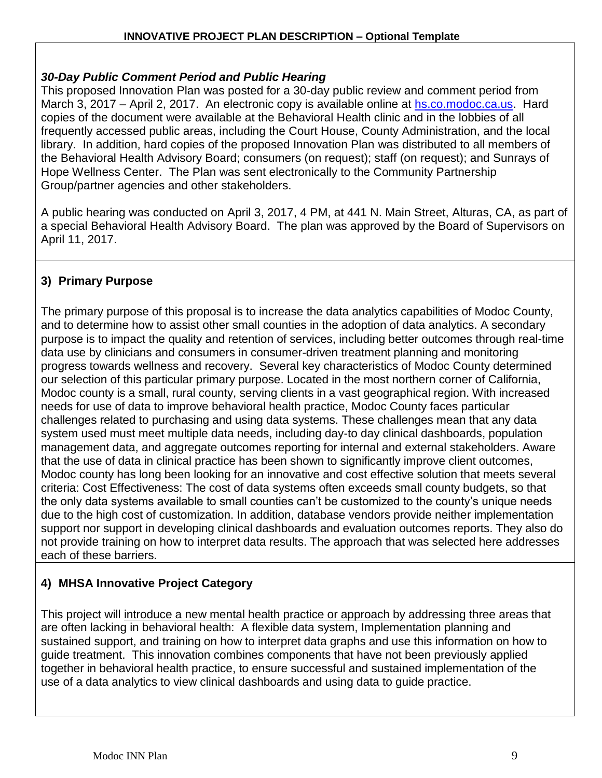### *30-Day Public Comment Period and Public Hearing*

This proposed Innovation Plan was posted for a 30-day public review and comment period from March 3, 2017 – April 2, 2017. An electronic copy is available online at [hs.co.modoc.ca.us.](http://hs.co.modoc.ca.us/) Hard copies of the document were available at the Behavioral Health clinic and in the lobbies of all frequently accessed public areas, including the Court House, County Administration, and the local library. In addition, hard copies of the proposed Innovation Plan was distributed to all members of the Behavioral Health Advisory Board; consumers (on request); staff (on request); and Sunrays of Hope Wellness Center. The Plan was sent electronically to the Community Partnership Group/partner agencies and other stakeholders.

A public hearing was conducted on April 3, 2017, 4 PM, at 441 N. Main Street, Alturas, CA, as part of a special Behavioral Health Advisory Board. The plan was approved by the Board of Supervisors on April 11, 2017.

# **3) Primary Purpose**

The primary purpose of this proposal is to increase the data analytics capabilities of Modoc County, and to determine how to assist other small counties in the adoption of data analytics. A secondary purpose is to impact the quality and retention of services, including better outcomes through real-time data use by clinicians and consumers in consumer-driven treatment planning and monitoring progress towards wellness and recovery. Several key characteristics of Modoc County determined our selection of this particular primary purpose. Located in the most northern corner of California, Modoc county is a small, rural county, serving clients in a vast geographical region. With increased needs for use of data to improve behavioral health practice, Modoc County faces particular challenges related to purchasing and using data systems. These challenges mean that any data system used must meet multiple data needs, including day-to day clinical dashboards, population management data, and aggregate outcomes reporting for internal and external stakeholders. Aware that the use of data in clinical practice has been shown to significantly improve client outcomes, Modoc county has long been looking for an innovative and cost effective solution that meets several criteria: Cost Effectiveness: The cost of data systems often exceeds small county budgets, so that the only data systems available to small counties can't be customized to the county's unique needs due to the high cost of customization. In addition, database vendors provide neither implementation support nor support in developing clinical dashboards and evaluation outcomes reports. They also do not provide training on how to interpret data results. The approach that was selected here addresses each of these barriers.

# **4) MHSA Innovative Project Category**

This project will introduce a new mental health practice or approach by addressing three areas that are often lacking in behavioral health: A flexible data system, Implementation planning and sustained support, and training on how to interpret data graphs and use this information on how to guide treatment. This innovation combines components that have not been previously applied together in behavioral health practice, to ensure successful and sustained implementation of the use of a data analytics to view clinical dashboards and using data to guide practice.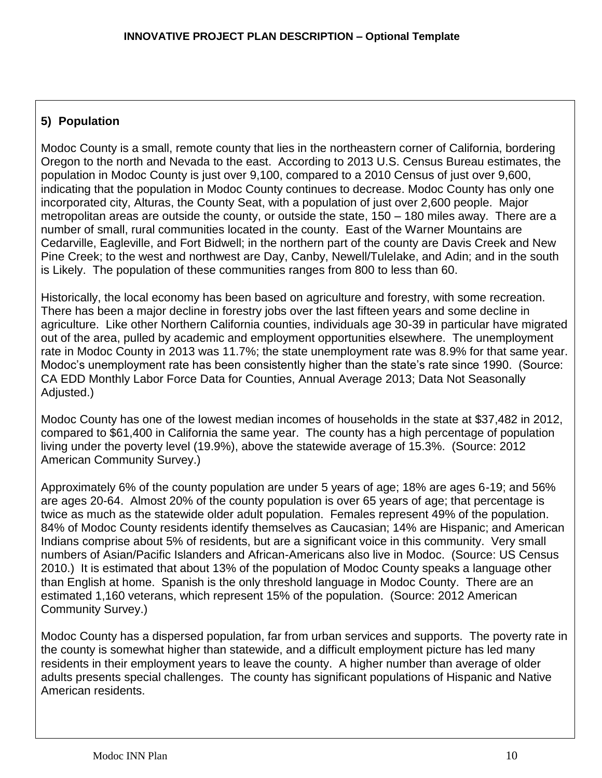## **5) Population**

Modoc County is a small, remote county that lies in the northeastern corner of California, bordering Oregon to the north and Nevada to the east. According to 2013 U.S. Census Bureau estimates, the population in Modoc County is just over 9,100, compared to a 2010 Census of just over 9,600, indicating that the population in Modoc County continues to decrease. Modoc County has only one incorporated city, Alturas, the County Seat, with a population of just over 2,600 people. Major metropolitan areas are outside the county, or outside the state, 150 – 180 miles away. There are a number of small, rural communities located in the county. East of the Warner Mountains are Cedarville, Eagleville, and Fort Bidwell; in the northern part of the county are Davis Creek and New Pine Creek; to the west and northwest are Day, Canby, Newell/Tulelake, and Adin; and in the south is Likely. The population of these communities ranges from 800 to less than 60.

Historically, the local economy has been based on agriculture and forestry, with some recreation. There has been a major decline in forestry jobs over the last fifteen years and some decline in agriculture. Like other Northern California counties, individuals age 30-39 in particular have migrated out of the area, pulled by academic and employment opportunities elsewhere. The unemployment rate in Modoc County in 2013 was 11.7%; the state unemployment rate was 8.9% for that same year. Modoc's unemployment rate has been consistently higher than the state's rate since 1990. (Source: CA EDD Monthly Labor Force Data for Counties, Annual Average 2013; Data Not Seasonally Adjusted.)

Modoc County has one of the lowest median incomes of households in the state at \$37,482 in 2012, compared to \$61,400 in California the same year. The county has a high percentage of population living under the poverty level (19.9%), above the statewide average of 15.3%. (Source: 2012 American Community Survey.)

Approximately 6% of the county population are under 5 years of age; 18% are ages 6-19; and 56% are ages 20-64. Almost 20% of the county population is over 65 years of age; that percentage is twice as much as the statewide older adult population. Females represent 49% of the population. 84% of Modoc County residents identify themselves as Caucasian; 14% are Hispanic; and American Indians comprise about 5% of residents, but are a significant voice in this community. Very small numbers of Asian/Pacific Islanders and African-Americans also live in Modoc. (Source: US Census 2010.) It is estimated that about 13% of the population of Modoc County speaks a language other than English at home. Spanish is the only threshold language in Modoc County. There are an estimated 1,160 veterans, which represent 15% of the population. (Source: 2012 American Community Survey.)

Modoc County has a dispersed population, far from urban services and supports. The poverty rate in the county is somewhat higher than statewide, and a difficult employment picture has led many residents in their employment years to leave the county. A higher number than average of older adults presents special challenges. The county has significant populations of Hispanic and Native American residents.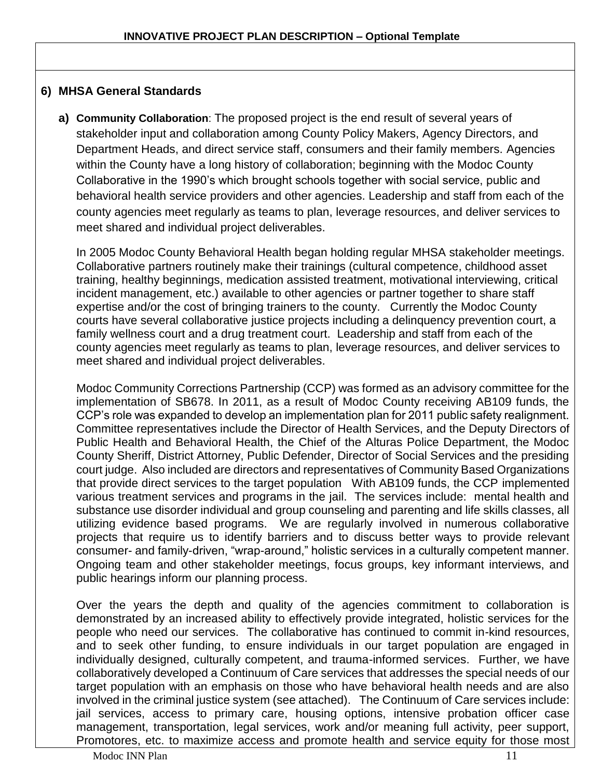### **6) MHSA General Standards**

**a) Community Collaboration**: The proposed project is the end result of several years of stakeholder input and collaboration among County Policy Makers, Agency Directors, and Department Heads, and direct service staff, consumers and their family members. Agencies within the County have a long history of collaboration; beginning with the Modoc County Collaborative in the 1990's which brought schools together with social service, public and behavioral health service providers and other agencies. Leadership and staff from each of the county agencies meet regularly as teams to plan, leverage resources, and deliver services to meet shared and individual project deliverables.

In 2005 Modoc County Behavioral Health began holding regular MHSA stakeholder meetings. Collaborative partners routinely make their trainings (cultural competence, childhood asset training, healthy beginnings, medication assisted treatment, motivational interviewing, critical incident management, etc.) available to other agencies or partner together to share staff expertise and/or the cost of bringing trainers to the county. Currently the Modoc County courts have several collaborative justice projects including a delinquency prevention court, a family wellness court and a drug treatment court. Leadership and staff from each of the county agencies meet regularly as teams to plan, leverage resources, and deliver services to meet shared and individual project deliverables.

Modoc Community Corrections Partnership (CCP) was formed as an advisory committee for the implementation of SB678. In 2011, as a result of Modoc County receiving AB109 funds, the CCP's role was expanded to develop an implementation plan for 2011 public safety realignment. Committee representatives include the Director of Health Services, and the Deputy Directors of Public Health and Behavioral Health, the Chief of the Alturas Police Department, the Modoc County Sheriff, District Attorney, Public Defender, Director of Social Services and the presiding court judge. Also included are directors and representatives of Community Based Organizations that provide direct services to the target population With AB109 funds, the CCP implemented various treatment services and programs in the jail. The services include: mental health and substance use disorder individual and group counseling and parenting and life skills classes, all utilizing evidence based programs. We are regularly involved in numerous collaborative projects that require us to identify barriers and to discuss better ways to provide relevant consumer- and family-driven, "wrap-around," holistic services in a culturally competent manner. Ongoing team and other stakeholder meetings, focus groups, key informant interviews, and public hearings inform our planning process.

Over the years the depth and quality of the agencies commitment to collaboration is demonstrated by an increased ability to effectively provide integrated, holistic services for the people who need our services. The collaborative has continued to commit in-kind resources, and to seek other funding, to ensure individuals in our target population are engaged in individually designed, culturally competent, and trauma-informed services. Further, we have collaboratively developed a Continuum of Care services that addresses the special needs of our target population with an emphasis on those who have behavioral health needs and are also involved in the criminal justice system (see attached). The Continuum of Care services include: jail services, access to primary care, housing options, intensive probation officer case management, transportation, legal services, work and/or meaning full activity, peer support, Promotores, etc. to maximize access and promote health and service equity for those most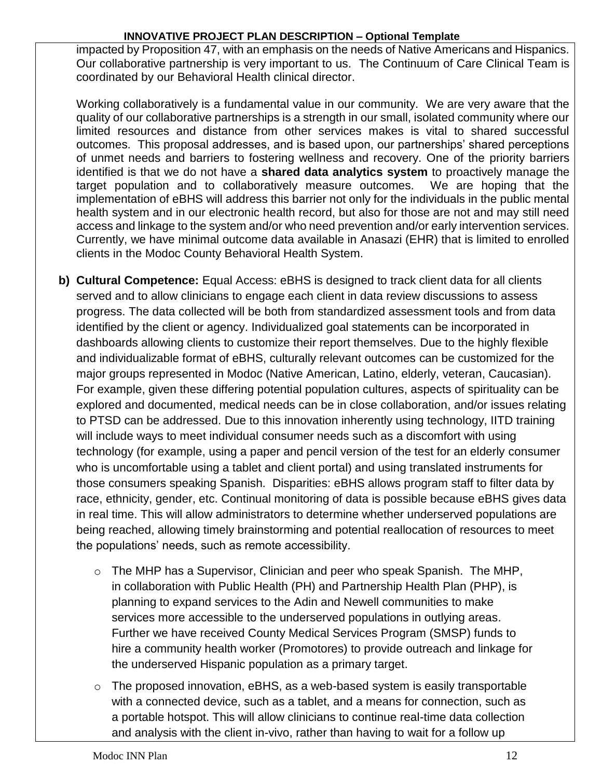impacted by Proposition 47, with an emphasis on the needs of Native Americans and Hispanics. Our collaborative partnership is very important to us. The Continuum of Care Clinical Team is coordinated by our Behavioral Health clinical director.

Working collaboratively is a fundamental value in our community. We are very aware that the quality of our collaborative partnerships is a strength in our small, isolated community where our limited resources and distance from other services makes is vital to shared successful outcomes. This proposal addresses, and is based upon, our partnerships' shared perceptions of unmet needs and barriers to fostering wellness and recovery. One of the priority barriers identified is that we do not have a **shared data analytics system** to proactively manage the target population and to collaboratively measure outcomes. We are hoping that the implementation of eBHS will address this barrier not only for the individuals in the public mental health system and in our electronic health record, but also for those are not and may still need access and linkage to the system and/or who need prevention and/or early intervention services. Currently, we have minimal outcome data available in Anasazi (EHR) that is limited to enrolled clients in the Modoc County Behavioral Health System.

- **b) Cultural Competence:** Equal Access: eBHS is designed to track client data for all clients served and to allow clinicians to engage each client in data review discussions to assess progress. The data collected will be both from standardized assessment tools and from data identified by the client or agency. Individualized goal statements can be incorporated in dashboards allowing clients to customize their report themselves. Due to the highly flexible and individualizable format of eBHS, culturally relevant outcomes can be customized for the major groups represented in Modoc (Native American, Latino, elderly, veteran, Caucasian). For example, given these differing potential population cultures, aspects of spirituality can be explored and documented, medical needs can be in close collaboration, and/or issues relating to PTSD can be addressed. Due to this innovation inherently using technology, IITD training will include ways to meet individual consumer needs such as a discomfort with using technology (for example, using a paper and pencil version of the test for an elderly consumer who is uncomfortable using a tablet and client portal) and using translated instruments for those consumers speaking Spanish. Disparities: eBHS allows program staff to filter data by race, ethnicity, gender, etc. Continual monitoring of data is possible because eBHS gives data in real time. This will allow administrators to determine whether underserved populations are being reached, allowing timely brainstorming and potential reallocation of resources to meet the populations' needs, such as remote accessibility.
	- o The MHP has a Supervisor, Clinician and peer who speak Spanish. The MHP, in collaboration with Public Health (PH) and Partnership Health Plan (PHP), is planning to expand services to the Adin and Newell communities to make services more accessible to the underserved populations in outlying areas. Further we have received County Medical Services Program (SMSP) funds to hire a community health worker (Promotores) to provide outreach and linkage for the underserved Hispanic population as a primary target.
	- $\circ$  The proposed innovation, eBHS, as a web-based system is easily transportable with a connected device, such as a tablet, and a means for connection, such as a portable hotspot. This will allow clinicians to continue real-time data collection and analysis with the client in-vivo, rather than having to wait for a follow up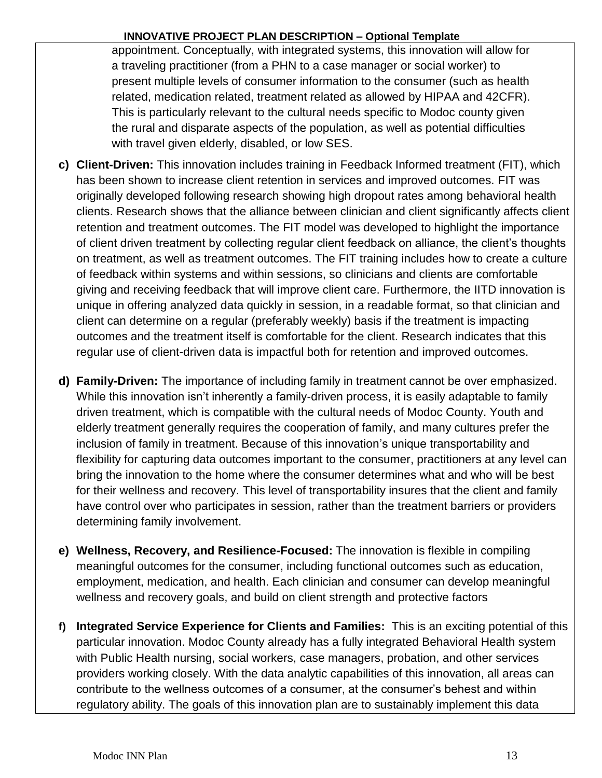appointment. Conceptually, with integrated systems, this innovation will allow for a traveling practitioner (from a PHN to a case manager or social worker) to present multiple levels of consumer information to the consumer (such as health related, medication related, treatment related as allowed by HIPAA and 42CFR). This is particularly relevant to the cultural needs specific to Modoc county given the rural and disparate aspects of the population, as well as potential difficulties with travel given elderly, disabled, or low SES.

- **c) Client-Driven:** This innovation includes training in Feedback Informed treatment (FIT), which has been shown to increase client retention in services and improved outcomes. FIT was originally developed following research showing high dropout rates among behavioral health clients. Research shows that the alliance between clinician and client significantly affects client retention and treatment outcomes. The FIT model was developed to highlight the importance of client driven treatment by collecting regular client feedback on alliance, the client's thoughts on treatment, as well as treatment outcomes. The FIT training includes how to create a culture of feedback within systems and within sessions, so clinicians and clients are comfortable giving and receiving feedback that will improve client care. Furthermore, the IITD innovation is unique in offering analyzed data quickly in session, in a readable format, so that clinician and client can determine on a regular (preferably weekly) basis if the treatment is impacting outcomes and the treatment itself is comfortable for the client. Research indicates that this regular use of client-driven data is impactful both for retention and improved outcomes.
- **d) Family-Driven:** The importance of including family in treatment cannot be over emphasized. While this innovation isn't inherently a family-driven process, it is easily adaptable to family driven treatment, which is compatible with the cultural needs of Modoc County. Youth and elderly treatment generally requires the cooperation of family, and many cultures prefer the inclusion of family in treatment. Because of this innovation's unique transportability and flexibility for capturing data outcomes important to the consumer, practitioners at any level can bring the innovation to the home where the consumer determines what and who will be best for their wellness and recovery. This level of transportability insures that the client and family have control over who participates in session, rather than the treatment barriers or providers determining family involvement.
- **e) Wellness, Recovery, and Resilience-Focused:** The innovation is flexible in compiling meaningful outcomes for the consumer, including functional outcomes such as education, employment, medication, and health. Each clinician and consumer can develop meaningful wellness and recovery goals, and build on client strength and protective factors
- **f) Integrated Service Experience for Clients and Families:** This is an exciting potential of this particular innovation. Modoc County already has a fully integrated Behavioral Health system with Public Health nursing, social workers, case managers, probation, and other services providers working closely. With the data analytic capabilities of this innovation, all areas can contribute to the wellness outcomes of a consumer, at the consumer's behest and within regulatory ability. The goals of this innovation plan are to sustainably implement this data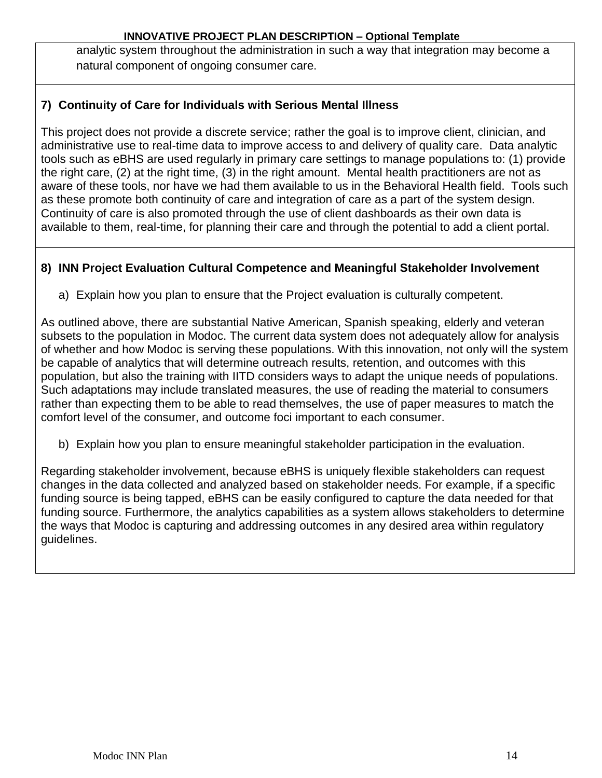analytic system throughout the administration in such a way that integration may become a natural component of ongoing consumer care.

# **7) Continuity of Care for Individuals with Serious Mental Illness**

This project does not provide a discrete service; rather the goal is to improve client, clinician, and administrative use to real-time data to improve access to and delivery of quality care. Data analytic tools such as eBHS are used regularly in primary care settings to manage populations to: (1) provide the right care, (2) at the right time, (3) in the right amount. Mental health practitioners are not as aware of these tools, nor have we had them available to us in the Behavioral Health field. Tools such as these promote both continuity of care and integration of care as a part of the system design. Continuity of care is also promoted through the use of client dashboards as their own data is available to them, real-time, for planning their care and through the potential to add a client portal.

## **8) INN Project Evaluation Cultural Competence and Meaningful Stakeholder Involvement**

a) Explain how you plan to ensure that the Project evaluation is culturally competent.

As outlined above, there are substantial Native American, Spanish speaking, elderly and veteran subsets to the population in Modoc. The current data system does not adequately allow for analysis of whether and how Modoc is serving these populations. With this innovation, not only will the system be capable of analytics that will determine outreach results, retention, and outcomes with this population, but also the training with IITD considers ways to adapt the unique needs of populations. Such adaptations may include translated measures, the use of reading the material to consumers rather than expecting them to be able to read themselves, the use of paper measures to match the comfort level of the consumer, and outcome foci important to each consumer.

b) Explain how you plan to ensure meaningful stakeholder participation in the evaluation.

Regarding stakeholder involvement, because eBHS is uniquely flexible stakeholders can request changes in the data collected and analyzed based on stakeholder needs. For example, if a specific funding source is being tapped, eBHS can be easily configured to capture the data needed for that funding source. Furthermore, the analytics capabilities as a system allows stakeholders to determine the ways that Modoc is capturing and addressing outcomes in any desired area within regulatory guidelines.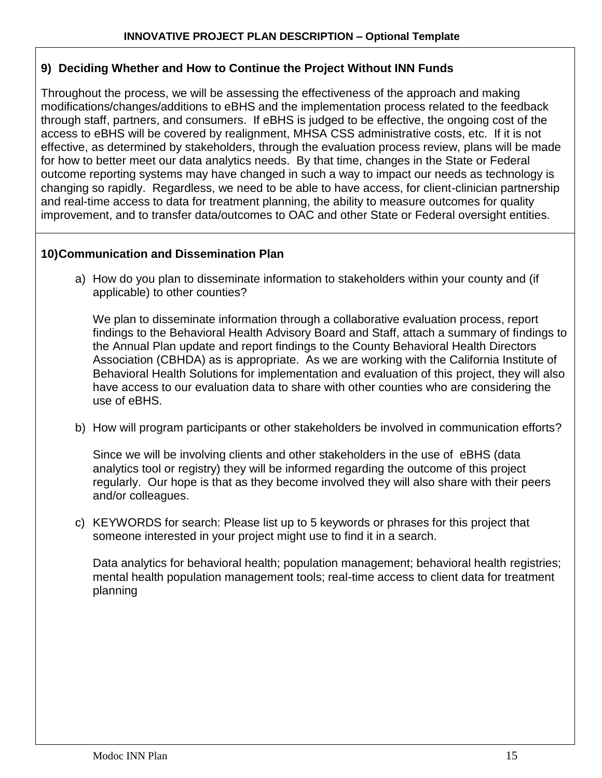### **9) Deciding Whether and How to Continue the Project Without INN Funds**

Throughout the process, we will be assessing the effectiveness of the approach and making modifications/changes/additions to eBHS and the implementation process related to the feedback through staff, partners, and consumers. If eBHS is judged to be effective, the ongoing cost of the access to eBHS will be covered by realignment, MHSA CSS administrative costs, etc. If it is not effective, as determined by stakeholders, through the evaluation process review, plans will be made for how to better meet our data analytics needs. By that time, changes in the State or Federal outcome reporting systems may have changed in such a way to impact our needs as technology is changing so rapidly. Regardless, we need to be able to have access, for client-clinician partnership and real-time access to data for treatment planning, the ability to measure outcomes for quality improvement, and to transfer data/outcomes to OAC and other State or Federal oversight entities.

### **10)Communication and Dissemination Plan**

a) How do you plan to disseminate information to stakeholders within your county and (if applicable) to other counties?

We plan to disseminate information through a collaborative evaluation process, report findings to the Behavioral Health Advisory Board and Staff, attach a summary of findings to the Annual Plan update and report findings to the County Behavioral Health Directors Association (CBHDA) as is appropriate. As we are working with the California Institute of Behavioral Health Solutions for implementation and evaluation of this project, they will also have access to our evaluation data to share with other counties who are considering the use of eBHS.

b) How will program participants or other stakeholders be involved in communication efforts?

Since we will be involving clients and other stakeholders in the use of eBHS (data analytics tool or registry) they will be informed regarding the outcome of this project regularly. Our hope is that as they become involved they will also share with their peers and/or colleagues.

c) KEYWORDS for search: Please list up to 5 keywords or phrases for this project that someone interested in your project might use to find it in a search.

Data analytics for behavioral health; population management; behavioral health registries; mental health population management tools; real-time access to client data for treatment planning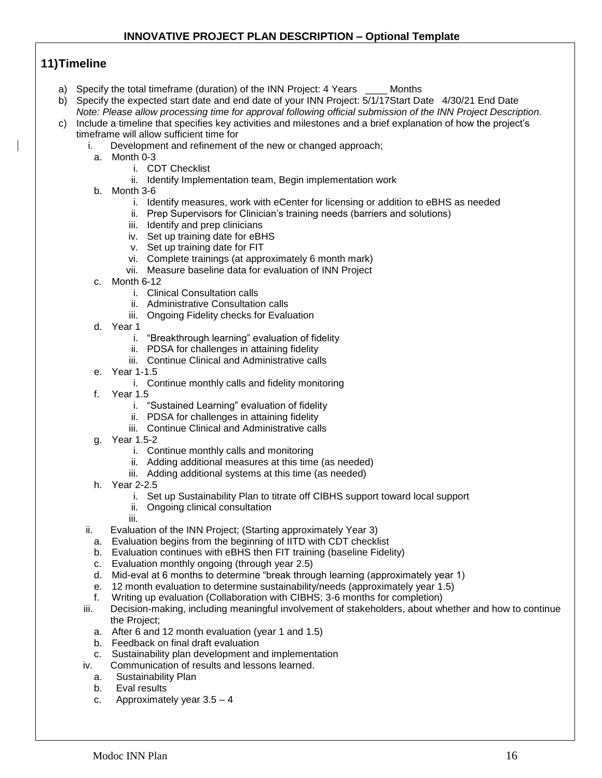## **11)Timeline**

- a) Specify the total timeframe (duration) of the INN Project: 4 Years Months
- b) Specify the expected start date and end date of your INN Project: 5/1/17Start Date 4/30/21 End Date *Note: Please allow processing time for approval following official submission of the INN Project Description.*
- c) Include a timeline that specifies key activities and milestones and a brief explanation of how the project's timeframe will allow sufficient time for
	- i. Development and refinement of the new or changed approach;
	- a. Month 0-3
		- i. CDT Checklist
		- ii. Identify Implementation team, Begin implementation work
	- b. Month 3-6
		- i. Identify measures, work with eCenter for licensing or addition to eBHS as needed
		- ii. Prep Supervisors for Clinician's training needs (barriers and solutions)
		- iii. Identify and prep clinicians
		- iv. Set up training date for eBHS
		- v. Set up training date for FIT
		- vi. Complete trainings (at approximately 6 month mark)
		- vii. Measure baseline data for evaluation of INN Project
	- c. Month 6-12
		- i. Clinical Consultation calls
		- ii. Administrative Consultation calls
		- iii. Ongoing Fidelity checks for Evaluation
	- d. Year 1
		- i. "Breakthrough learning" evaluation of fidelity
		- ii. PDSA for challenges in attaining fidelity
		- iii. Continue Clinical and Administrative calls
	- e. Year 1-1.5
		- i. Continue monthly calls and fidelity monitoring
	- f. Year 1.5
		- i. "Sustained Learning" evaluation of fidelity
		- ii. PDSA for challenges in attaining fidelity
		- iii. Continue Clinical and Administrative calls
	- g. Year 1.5-2
		- i. Continue monthly calls and monitoring
		- ii. Adding additional measures at this time (as needed)
		- iii. Adding additional systems at this time (as needed)
	- h. Year 2-2.5
		- i. Set up Sustainability Plan to titrate off CIBHS support toward local support
		- ii. Ongoing clinical consultation
		- iii.
	- ii. Evaluation of the INN Project; (Starting approximately Year 3)
	- a. Evaluation begins from the beginning of IITD with CDT checklist
	- b. Evaluation continues with eBHS then FIT training (baseline Fidelity)
	- c. Evaluation monthly ongoing (through year 2.5)
	- d. Mid-eval at 6 months to determine "break through learning (approximately year 1)
	- e. 12 month evaluation to determine sustainability/needs (approximately year 1.5)
	- f. Writing up evaluation (Collaboration with CIBHS; 3-6 months for completion)
	- iii. Decision-making, including meaningful involvement of stakeholders, about whether and how to continue the Project;
		- a. After 6 and 12 month evaluation (year 1 and 1.5)
		- b. Feedback on final draft evaluation
		- c. Sustainability plan development and implementation
	- iv. Communication of results and lessons learned.
		- a. Sustainability Plan
		- b. Eval results
		- c. Approximately year 3.5 4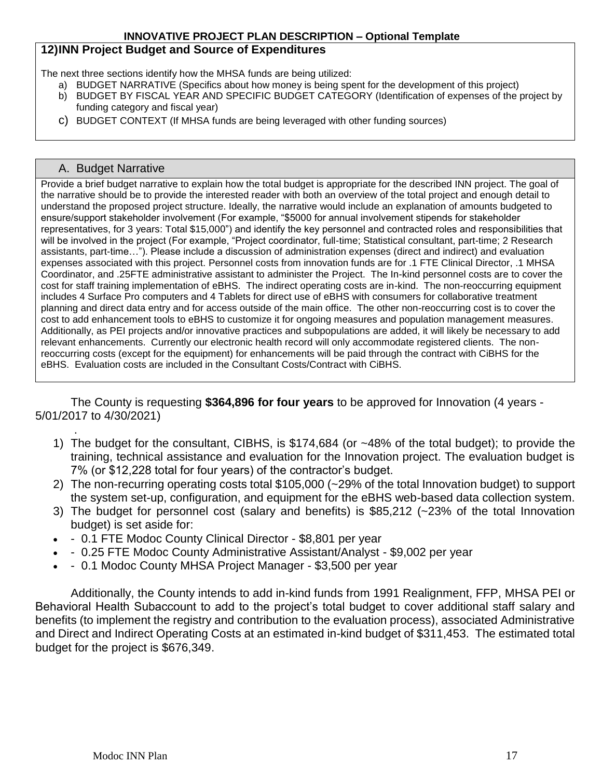### **12)INN Project Budget and Source of Expenditures**

The next three sections identify how the MHSA funds are being utilized:

- a) BUDGET NARRATIVE (Specifics about how money is being spent for the development of this project)
- b) BUDGET BY FISCAL YEAR AND SPECIFIC BUDGET CATEGORY (Identification of expenses of the project by funding category and fiscal year)
- c) BUDGET CONTEXT (If MHSA funds are being leveraged with other funding sources)

#### A. Budget Narrative

.

Provide a brief budget narrative to explain how the total budget is appropriate for the described INN project. The goal of the narrative should be to provide the interested reader with both an overview of the total project and enough detail to understand the proposed project structure. Ideally, the narrative would include an explanation of amounts budgeted to ensure/support stakeholder involvement (For example, "\$5000 for annual involvement stipends for stakeholder representatives, for 3 years: Total \$15,000") and identify the key personnel and contracted roles and responsibilities that will be involved in the project (For example, "Project coordinator, full-time; Statistical consultant, part-time; 2 Research assistants, part-time…"). Please include a discussion of administration expenses (direct and indirect) and evaluation expenses associated with this project. Personnel costs from innovation funds are for .1 FTE Clinical Director, .1 MHSA Coordinator, and .25FTE administrative assistant to administer the Project. The In-kind personnel costs are to cover the cost for staff training implementation of eBHS. The indirect operating costs are in-kind. The non-reoccurring equipment includes 4 Surface Pro computers and 4 Tablets for direct use of eBHS with consumers for collaborative treatment planning and direct data entry and for access outside of the main office. The other non-reoccurring cost is to cover the cost to add enhancement tools to eBHS to customize it for ongoing measures and population management measures. Additionally, as PEI projects and/or innovative practices and subpopulations are added, it will likely be necessary to add relevant enhancements. Currently our electronic health record will only accommodate registered clients. The nonreoccurring costs (except for the equipment) for enhancements will be paid through the contract with CiBHS for the eBHS. Evaluation costs are included in the Consultant Costs/Contract with CiBHS.

The County is requesting **\$364,896 for four years** to be approved for Innovation (4 years - 5/01/2017 to 4/30/2021)

- 1) The budget for the consultant, CIBHS, is \$174,684 (or ~48% of the total budget); to provide the training, technical assistance and evaluation for the Innovation project. The evaluation budget is 7% (or \$12,228 total for four years) of the contractor's budget.
- 2) The non-recurring operating costs total \$105,000 (~29% of the total Innovation budget) to support the system set-up, configuration, and equipment for the eBHS web-based data collection system.
- 3) The budget for personnel cost (salary and benefits) is \$85,212 (~23% of the total Innovation budget) is set aside for:
- 0.1 FTE Modoc County Clinical Director \$8,801 per year
- 0.25 FTE Modoc County Administrative Assistant/Analyst \$9,002 per year
- 0.1 Modoc County MHSA Project Manager \$3,500 per year

Additionally, the County intends to add in-kind funds from 1991 Realignment, FFP, MHSA PEI or Behavioral Health Subaccount to add to the project's total budget to cover additional staff salary and benefits (to implement the registry and contribution to the evaluation process), associated Administrative and Direct and Indirect Operating Costs at an estimated in-kind budget of \$311,453. The estimated total budget for the project is \$676,349.